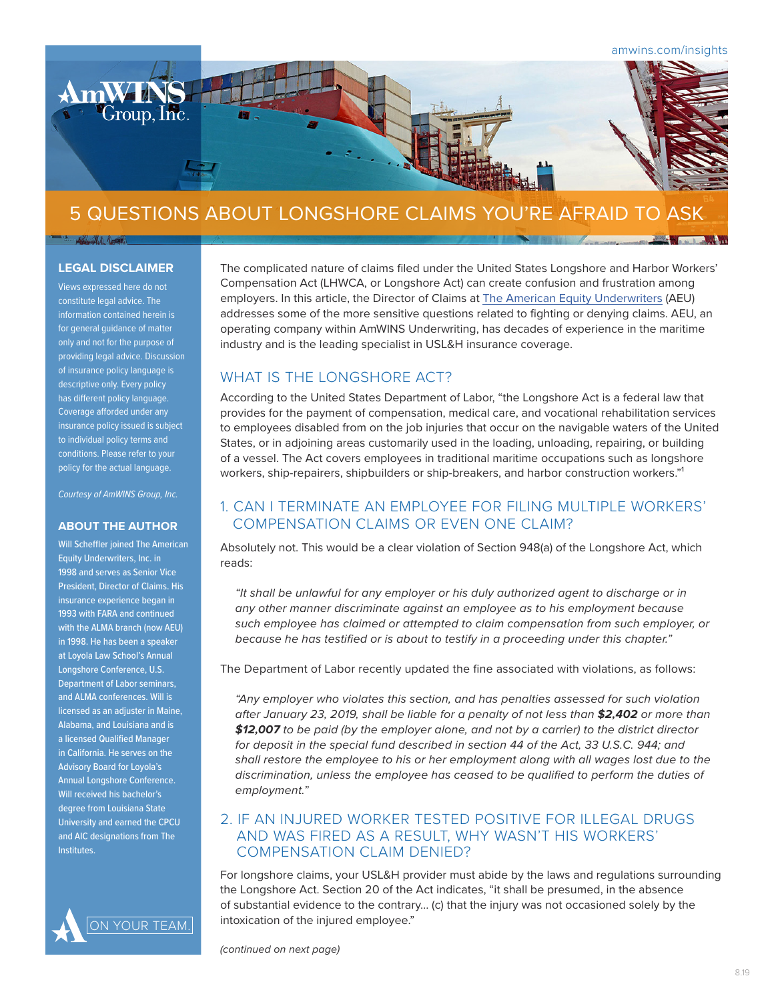

# 5 QUESTIONS ABOUT LONGSHORE CLAIMS YOU'RE AFRAID TO ASK

#### **LEGAL DISCLAIMER**

Views expressed here do not constitute legal advice. The information contained herein is for general guidance of matter only and not for the purpose of providing legal advice. Discussion of insurance policy language is descriptive only. Every policy has different policy language. Coverage afforded under any insurance policy issued is subject to individual policy terms and conditions. Please refer to your policy for the actual language.

*Courtesy of AmWINS Group, Inc.*

#### **ABOUT THE AUTHOR**

Will Scheffler joined The American Equity Underwriters, Inc. in 1998 and serves as Senior Vice President, Director of Claims. His insurance experience began in 1993 with FARA and continued with the ALMA branch (now AEU) in 1998. He has been a speaker at Loyola Law School's Annual Longshore Conference, U.S. Department of Labor seminars, and ALMA conferences. Will is licensed as an adjuster in Maine, Alabama, and Louisiana and is a licensed Qualified Manager in California. He serves on the Advisory Board for Loyola's Annual Longshore Conference. Will received his bachelor's degree from Louisiana State University and earned the CPCU and AIC designations from The Institutes.



The complicated nature of claims filed under the United States Longshore and Harbor Workers' Compensation Act (LHWCA, or Longshore Act) can create confusion and frustration among employers. In this article, the Director of Claims at [The American Equity Underwriters](https://www.amequity.com/?utm_source=amwins&utm_medium=insights-article&utm_campaign=longshore-insider&utm_term=&utm_content=blog-5-questions-about-longshore-claims-youre-too-afraid-to-ask) (AEU) addresses some of the more sensitive questions related to fighting or denying claims. AEU, an operating company within AmWINS Underwriting, has decades of experience in the maritime industry and is the leading specialist in USL&H insurance coverage.

# WHAT IS THE LONGSHORE ACT?

According to the United States Department of Labor, "the Longshore Act is a federal law that provides for the payment of compensation, medical care, and vocational rehabilitation services to employees disabled from on the job injuries that occur on the navigable waters of the United States, or in adjoining areas customarily used in the loading, unloading, repairing, or building of a vessel. The Act covers employees in traditional maritime occupations such as longshore workers, ship-repairers, shipbuilders or ship-breakers, and harbor construction workers."<sup>1</sup>

### 1. CAN I TERMINATE AN EMPLOYEE FOR FILING MULTIPLE WORKERS' COMPENSATION CLAIMS OR EVEN ONE CLAIM?

Absolutely not. This would be a clear violation of Section 948(a) of the Longshore Act, which reads:

*"It shall be unlawful for any employer or his duly authorized agent to discharge or in any other manner discriminate against an employee as to his employment because such employee has claimed or attempted to claim compensation from such employer, or because he has testified or is about to testify in a proceeding under this chapter."*

The Department of Labor recently updated the fine associated with violations, as follows:

*"Any employer who violates this section, and has penalties assessed for such violation after January 23, 2019, shall be liable for a penalty of not less than \$2,402 or more than \$12,007 to be paid (by the employer alone, and not by a carrier) to the district director*  for deposit in the special fund described in section 44 of the Act, 33 U.S.C. 944; and *shall restore the employee to his or her employment along with all wages lost due to the discrimination, unless the employee has ceased to be qualified to perform the duties of employment.*"

#### 2. IF AN INJURED WORKER TESTED POSITIVE FOR ILLEGAL DRUGS AND WAS FIRED AS A RESULT, WHY WASN'T HIS WORKERS' COMPENSATION CLAIM DENIED?

For longshore claims, your USL&H provider must abide by the laws and regulations surrounding the Longshore Act. Section 20 of the Act indicates, "it shall be presumed, in the absence of substantial evidence to the contrary… (c) that the injury was not occasioned solely by the intoxication of the injured employee."

*(continued on next page)*